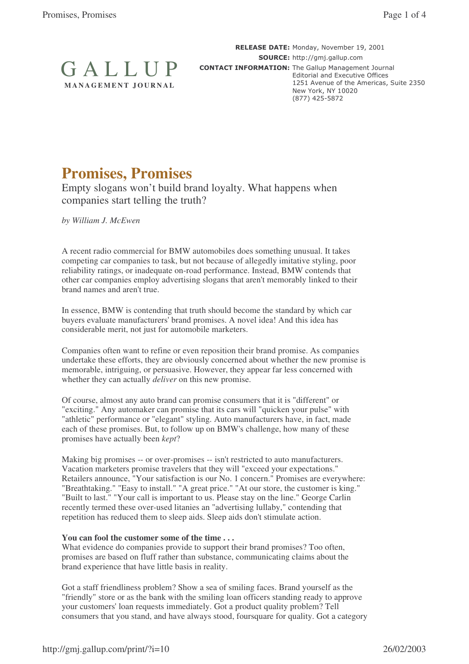

RELEASE DATE: Monday, November 19, 2001 SOURCE: http://gmj.gallup.com **CONTACT INFORMATION:** The Gallup Management Journal Editorial and Executive Offices 1251 Avenue of the Americas, Suite 2350 New York, NY 10020  $(877)$  425-5872

# **Promises, Promises**

Empty slogans won't build brand loyalty. What happens when companies start telling the truth?

*by William J. McEwen*

A recent radio commercial for BMW automobiles does something unusual. It takes competing car companies to task, but not because of allegedly imitative styling, poor reliability ratings, or inadequate on-road performance. Instead, BMW contends that other car companies employ advertising slogans that aren't memorably linked to their brand names and aren't true.

In essence, BMW is contending that truth should become the standard by which car buyers evaluate manufacturers'brand promises. A novel idea! And this idea has considerable merit, not just for automobile marketers.

Companies often want to refine or even reposition their brand promise. As companies undertake these efforts, they are obviously concerned about whether the new promise is memorable, intriguing, or persuasive. However, they appear far less concerned with whether they can actually *deliver* on this new promise.

Of course, almost any auto brand can promise consumers that it is "different" or "exciting." Any automaker can promise that its cars will "quicken your pulse" with "athletic" performance or "elegant" styling. Auto manufacturers have, in fact, made each of these promises. But, to follow up on BMW's challenge, how many of these promises have actually been *kept*?

Making big promises -- or over-promises -- isn't restricted to auto manufacturers. Vacation marketers promise travelers that they will "exceed your expectations." Retailers announce, "Your satisfaction is our No. 1 concern." Promises are everywhere: "Breathtaking." "Easy to install." "A great price." "At our store, the customer is king." "Built to last." "Your call is important to us. Please stay on the line." George Carlin recently termed these over-used litanies an "advertising lullaby," contending that repetition has reduced them to sleep aids. Sleep aids don't stimulate action.

# **You can fool the customer some of the time . . .**

What evidence do companies provide to support their brand promises? Too often, promises are based on fluff rather than substance, communicating claims about the brand experience that have little basis in reality.

Got a staff friendliness problem? Show a sea of smiling faces. Brand yourself as the "friendly" store or as the bank with the smiling loan officers standing ready to approve your customers'loan requests immediately. Got a product quality problem? Tell consumers that you stand, and have always stood, foursquare for quality. Got a category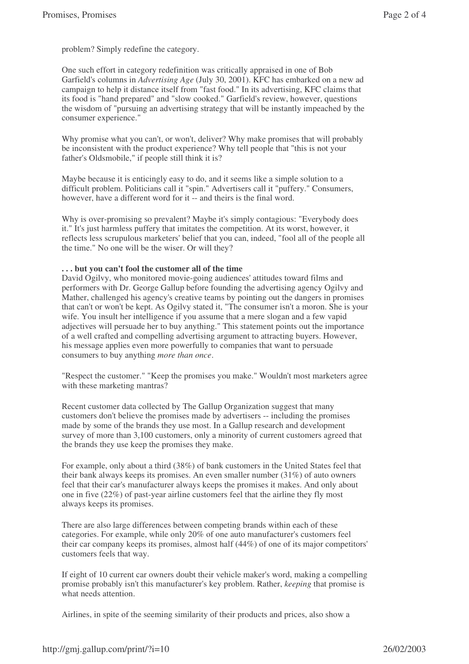problem? Simply redefine the category.

One such effort in category redefinition was critically appraised in one of Bob Garfield's columns in *Advertising Age* (July 30, 2001). KFC has embarked on a new ad campaign to help it distance itself from "fast food." In its advertising, KFC claims that its food is "hand prepared" and "slow cooked." Garfield's review, however, questions the wisdom of "pursuing an advertising strategy that will be instantly impeached by the consumer experience."

Why promise what you can't, or won't, deliver? Why make promises that will probably be inconsistent with the product experience? Why tell people that "this is not your father's Oldsmobile," if people still think it is?

Maybe because it is enticingly easy to do, and it seems like a simple solution to a difficult problem. Politicians call it "spin." Advertisers call it "puffery." Consumers, however, have a different word for it -- and theirs is the final word.

Why is over-promising so prevalent? Maybe it's simply contagious: "Everybody does it." It's just harmless puffery that imitates the competition. At its worst, however, it reflects less scrupulous marketers'belief that you can, indeed, "fool all of the people all the time." No one will be the wiser. Or will they?

# **. . . but you can't fool the customer all of the time**

David Ogilvy, who monitored movie-going audiences'attitudes toward films and performers with Dr. George Gallup before founding the advertising agency Ogilvy and Mather, challenged his agency's creative teams by pointing out the dangers in promises that can't or won't be kept. As Ogilvy stated it, "The consumer isn't a moron. She is your wife. You insult her intelligence if you assume that a mere slogan and a few vapid adjectives will persuade her to buy anything." This statement points out the importance of a well crafted and compelling advertising argument to attracting buyers. However, his message applies even more powerfully to companies that want to persuade consumers to buy anything *more than once*.

"Respect the customer." "Keep the promises you make." Wouldn't most marketers agree with these marketing mantras?

Recent customer data collected by The Gallup Organization suggest that many customers don't believe the promises made by advertisers -- including the promises made by some of the brands they use most. In a Gallup research and development survey of more than 3,100 customers, only a minority of current customers agreed that the brands they use keep the promises they make.

For example, only about a third (38%) of bank customers in the United States feel that their bank always keeps its promises. An even smaller number  $(31\%)$  of auto owners feel that their car's manufacturer always keeps the promises it makes. And only about one in five (22%) of past-year airline customers feel that the airline they fly most always keeps its promises.

There are also large differences between competing brands within each of these categories. For example, while only 20% of one auto manufacturer's customers feel their car company keeps its promises, almost half (44%) of one of its major competitors' customers feels that way.

If eight of 10 current car owners doubt their vehicle maker's word, making a compelling promise probably isn't this manufacturer's key problem. Rather, *keeping* that promise is what needs attention.

Airlines, in spite of the seeming similarity of their products and prices, also show a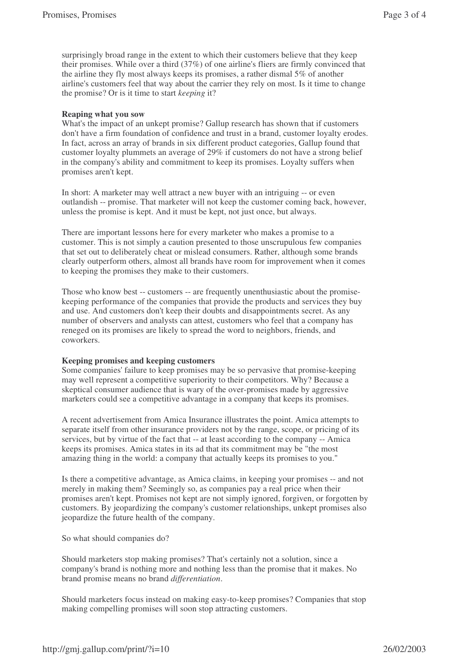surprisingly broad range in the extent to which their customers believe that they keep their promises. While over a third (37%) of one airline's fliers are firmly convinced that the airline they fly most always keeps its promises, a rather dismal 5% of another airline's customers feel that way about the carrier they rely on most. Is it time to change the promise? Or is it time to start *keeping* it?

### **Reaping what you sow**

What's the impact of an unkept promise? Gallup research has shown that if customers don't have a firm foundation of confidence and trust in a brand, customer loyalty erodes. In fact, across an array of brands in six different product categories, Gallup found that customer loyalty plummets an average of 29% if customers do not have a strong belief in the company's ability and commitment to keep its promises. Loyalty suffers when promises aren't kept.

In short: A marketer may well attract a new buyer with an intriguing -- or even outlandish -- promise. That marketer will not keep the customer coming back, however, unless the promise is kept. And it must be kept, not just once, but always.

There are important lessons here for every marketer who makes a promise to a customer. This is not simply a caution presented to those unscrupulous few companies that set out to deliberately cheat or mislead consumers. Rather, although some brands clearly outperform others, almost all brands have room for improvement when it comes to keeping the promises they make to their customers.

Those who know best -- customers -- are frequently unenthusiastic about the promisekeeping performance of the companies that provide the products and services they buy and use. And customers don't keep their doubts and disappointments secret. As any number of observers and analysts can attest, customers who feel that a company has reneged on its promises are likely to spread the word to neighbors, friends, and coworkers.

# **Keeping promises and keeping customers**

Some companies'failure to keep promises may be so pervasive that promise-keeping may well represent a competitive superiority to their competitors. Why? Because a skeptical consumer audience that is wary of the over-promises made by aggressive marketers could see a competitive advantage in a company that keeps its promises.

A recent advertisement from Amica Insurance illustrates the point. Amica attempts to separate itself from other insurance providers not by the range, scope, or pricing of its services, but by virtue of the fact that -- at least according to the company -- Amica keeps its promises. Amica states in its ad that its commitment may be "the most amazing thing in the world: a company that actually keeps its promises to you."

Is there a competitive advantage, as Amica claims, in keeping your promises -- and not merely in making them? Seemingly so, as companies pay a real price when their promises aren't kept. Promises not kept are not simply ignored, forgiven, or forgotten by customers. By jeopardizing the company's customer relationships, unkept promises also jeopardize the future health of the company.

So what should companies do?

Should marketers stop making promises? That's certainly not a solution, since a company's brand is nothing more and nothing less than the promise that it makes. No brand promise means no brand *differentiation*.

Should marketers focus instead on making easy-to-keep promises? Companies that stop making compelling promises will soon stop attracting customers.